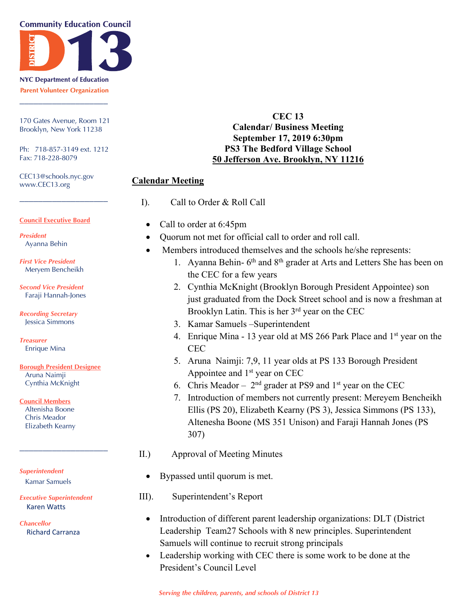#### **Community Education Council**



**NYC Department of Education Parent Volunteer Organization** \_\_\_\_\_\_\_\_\_\_\_\_\_\_\_\_\_\_\_

170 Gates Avenue, Room 121 Brooklyn, New York 11238

Ph: 718-857-3149 ext. 1212 Fax: 718-228-8079

\_\_\_\_\_\_\_\_\_\_\_\_\_\_\_\_\_\_\_

CEC13@schools.nyc.gov www.CEC13.org

#### **Council Executive Board**

- *President* Ayanna Behin
- *First Vice President* Meryem Bencheikh

*Second Vice President* Faraji Hannah-Jones

*Recording Secretary* Jessica Simmons

*Treasurer* Enrique Mina

#### **Borough President Designee** Aruna Naimji

Cynthia McKnight

**Council Members**

Altenisha Boone Chris Meador Elizabeth Kearny

*Superintendent* Kamar Samuels

*Executive Superintendent* Karen Watts

\_\_\_\_\_\_\_\_\_\_\_\_\_\_\_\_\_\_\_

*Chancellor* Richard Carranza

#### **CEC 13 Calendar/ Business Meeting September 17, 2019 6:30pm PS3 The Bedford Village School 50 Jefferson Ave. Brooklyn, NY 11216**

#### **Calendar Meeting**

- I). Call to Order & Roll Call
- Call to order at 6:45pm
- Quorum not met for official call to order and roll call.
- Members introduced themselves and the schools he/she represents:
	- 1. Ayanna Behin-  $6<sup>th</sup>$  and  $8<sup>th</sup>$  grader at Arts and Letters She has been on the CEC for a few years
	- 2. Cynthia McKnight (Brooklyn Borough President Appointee) son just graduated from the Dock Street school and is now a freshman at Brooklyn Latin. This is her 3<sup>rd</sup> year on the CEC
	- 3. Kamar Samuels –Superintendent
	- 4. Enrique Mina 13 year old at MS 266 Park Place and  $1<sup>st</sup>$  year on the **CEC**
	- 5. Aruna Naimji: 7,9, 11 year olds at PS 133 Borough President Appointee and 1<sup>st</sup> year on CEC
	- 6. Chris Meador  $2<sup>nd</sup>$  grader at PS9 and 1<sup>st</sup> year on the CEC
	- 7. Introduction of members not currently present: Mereyem Bencheikh Ellis (PS 20), Elizabeth Kearny (PS 3), Jessica Simmons (PS 133), Altenesha Boone (MS 351 Unison) and Faraji Hannah Jones (PS 307)
- II.) Approval of Meeting Minutes
	- Bypassed until quorum is met.
- III). Superintendent's Report
	- Introduction of different parent leadership organizations: DLT (District Leadership Team27 Schools with 8 new principles. Superintendent Samuels will continue to recruit strong principals
	- Leadership working with CEC there is some work to be done at the President's Council Level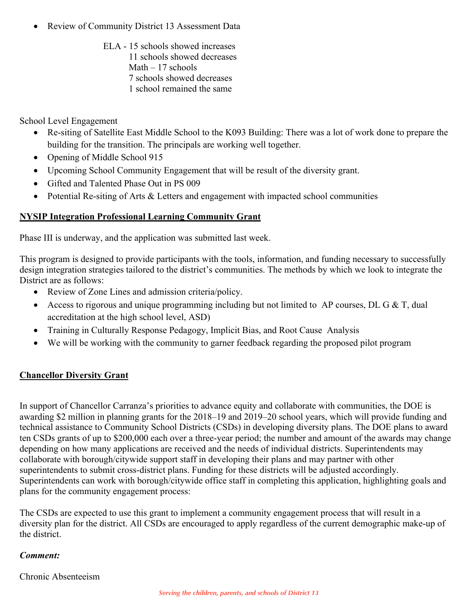- Review of Community District 13 Assessment Data
	- ELA 15 schools showed increases 11 schools showed decreases Math  $-17$  schools 7 schools showed decreases 1 school remained the same

School Level Engagement

- Re-siting of Satellite East Middle School to the K093 Building: There was a lot of work done to prepare the building for the transition. The principals are working well together.
- Opening of Middle School 915
- Upcoming School Community Engagement that will be result of the diversity grant.
- Gifted and Talented Phase Out in PS 009
- Potential Re-siting of Arts & Letters and engagement with impacted school communities

# **NYSIP Integration Professional Learning Community Grant**

Phase III is underway, and the application was submitted last week.

This program is designed to provide participants with the tools, information, and funding necessary to successfully design integration strategies tailored to the district's communities. The methods by which we look to integrate the District are as follows:

- Review of Zone Lines and admission criteria/policy.
- Access to rigorous and unique programming including but not limited to AP courses, DL G & T, dual accreditation at the high school level, ASD)
- Training in Culturally Response Pedagogy, Implicit Bias, and Root Cause Analysis
- We will be working with the community to garner feedback regarding the proposed pilot program

## **Chancellor Diversity Grant**

In support of Chancellor Carranza's priorities to advance equity and collaborate with communities, the DOE is awarding \$2 million in planning grants for the 2018–19 and 2019–20 school years, which will provide funding and technical assistance to Community School Districts (CSDs) in developing diversity plans. The DOE plans to award ten CSDs grants of up to \$200,000 each over a three-year period; the number and amount of the awards may change depending on how many applications are received and the needs of individual districts. Superintendents may collaborate with borough/citywide support staff in developing their plans and may partner with other superintendents to submit cross-district plans. Funding for these districts will be adjusted accordingly. Superintendents can work with borough/citywide office staff in completing this application, highlighting goals and plans for the community engagement process:

The CSDs are expected to use this grant to implement a community engagement process that will result in a diversity plan for the district. All CSDs are encouraged to apply regardless of the current demographic make-up of the district.

## *Comment:*

Chronic Absenteeism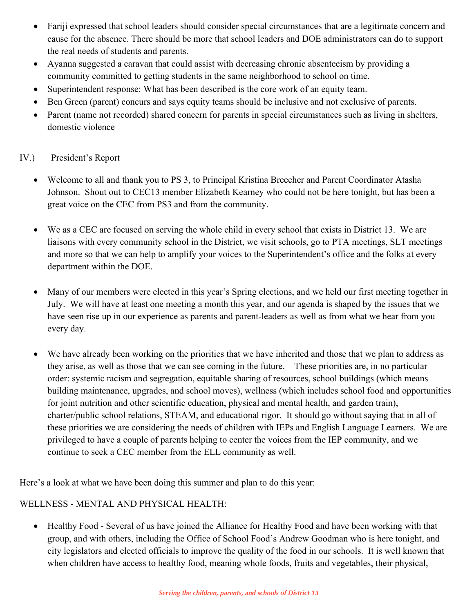- Fariji expressed that school leaders should consider special circumstances that are a legitimate concern and cause for the absence. There should be more that school leaders and DOE administrators can do to support the real needs of students and parents.
- Ayanna suggested a caravan that could assist with decreasing chronic absenteeism by providing a community committed to getting students in the same neighborhood to school on time.
- Superintendent response: What has been described is the core work of an equity team.
- Ben Green (parent) concurs and says equity teams should be inclusive and not exclusive of parents.
- Parent (name not recorded) shared concern for parents in special circumstances such as living in shelters, domestic violence

## IV.) President's Report

- Welcome to all and thank you to PS 3, to Principal Kristina Breecher and Parent Coordinator Atasha Johnson. Shout out to CEC13 member Elizabeth Kearney who could not be here tonight, but has been a great voice on the CEC from PS3 and from the community.
- We as a CEC are focused on serving the whole child in every school that exists in District 13. We are liaisons with every community school in the District, we visit schools, go to PTA meetings, SLT meetings and more so that we can help to amplify your voices to the Superintendent's office and the folks at every department within the DOE.
- Many of our members were elected in this year's Spring elections, and we held our first meeting together in July. We will have at least one meeting a month this year, and our agenda is shaped by the issues that we have seen rise up in our experience as parents and parent-leaders as well as from what we hear from you every day.
- We have already been working on the priorities that we have inherited and those that we plan to address as they arise, as well as those that we can see coming in the future. These priorities are, in no particular order: systemic racism and segregation, equitable sharing of resources, school buildings (which means building maintenance, upgrades, and school moves), wellness (which includes school food and opportunities for joint nutrition and other scientific education, physical and mental health, and garden train), charter/public school relations, STEAM, and educational rigor. It should go without saying that in all of these priorities we are considering the needs of children with IEPs and English Language Learners. We are privileged to have a couple of parents helping to center the voices from the IEP community, and we continue to seek a CEC member from the ELL community as well.

Here's a look at what we have been doing this summer and plan to do this year:

## WELLNESS - MENTAL AND PHYSICAL HEALTH:

• Healthy Food - Several of us have joined the Alliance for Healthy Food and have been working with that group, and with others, including the Office of School Food's Andrew Goodman who is here tonight, and city legislators and elected officials to improve the quality of the food in our schools. It is well known that when children have access to healthy food, meaning whole foods, fruits and vegetables, their physical,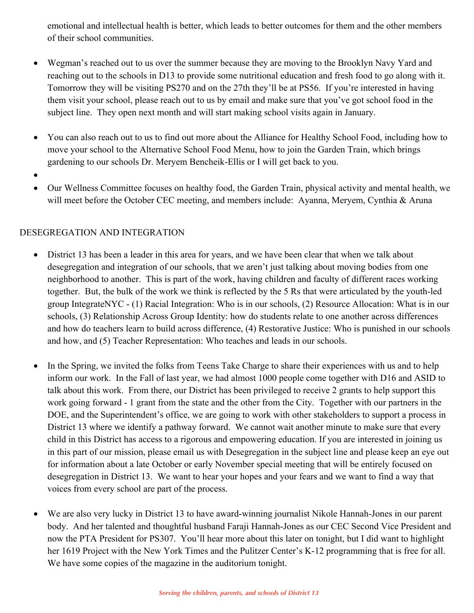emotional and intellectual health is better, which leads to better outcomes for them and the other members of their school communities.

- Wegman's reached out to us over the summer because they are moving to the Brooklyn Navy Yard and reaching out to the schools in D13 to provide some nutritional education and fresh food to go along with it. Tomorrow they will be visiting PS270 and on the 27th they'll be at PS56. If you're interested in having them visit your school, please reach out to us by email and make sure that you've got school food in the subject line. They open next month and will start making school visits again in January.
- You can also reach out to us to find out more about the Alliance for Healthy School Food, including how to move your school to the Alternative School Food Menu, how to join the Garden Train, which brings gardening to our schools Dr. Meryem Bencheik-Ellis or I will get back to you.
- •
- Our Wellness Committee focuses on healthy food, the Garden Train, physical activity and mental health, we will meet before the October CEC meeting, and members include: Ayanna, Meryem, Cynthia & Aruna

# DESEGREGATION AND INTEGRATION

- District 13 has been a leader in this area for years, and we have been clear that when we talk about desegregation and integration of our schools, that we aren't just talking about moving bodies from one neighborhood to another. This is part of the work, having children and faculty of different races working together. But, the bulk of the work we think is reflected by the 5 Rs that were articulated by the youth-led group IntegrateNYC - (1) Racial Integration: Who is in our schools, (2) Resource Allocation: What is in our schools, (3) Relationship Across Group Identity: how do students relate to one another across differences and how do teachers learn to build across difference, (4) Restorative Justice: Who is punished in our schools and how, and (5) Teacher Representation: Who teaches and leads in our schools.
- In the Spring, we invited the folks from Teens Take Charge to share their experiences with us and to help inform our work. In the Fall of last year, we had almost 1000 people come together with D16 and ASID to talk about this work. From there, our District has been privileged to receive 2 grants to help support this work going forward - 1 grant from the state and the other from the City. Together with our partners in the DOE, and the Superintendent's office, we are going to work with other stakeholders to support a process in District 13 where we identify a pathway forward. We cannot wait another minute to make sure that every child in this District has access to a rigorous and empowering education. If you are interested in joining us in this part of our mission, please email us with Desegregation in the subject line and please keep an eye out for information about a late October or early November special meeting that will be entirely focused on desegregation in District 13. We want to hear your hopes and your fears and we want to find a way that voices from every school are part of the process.
- We are also very lucky in District 13 to have award-winning journalist Nikole Hannah-Jones in our parent body. And her talented and thoughtful husband Faraji Hannah-Jones as our CEC Second Vice President and now the PTA President for PS307. You'll hear more about this later on tonight, but I did want to highlight her 1619 Project with the New York Times and the Pulitzer Center's K-12 programming that is free for all. We have some copies of the magazine in the auditorium tonight.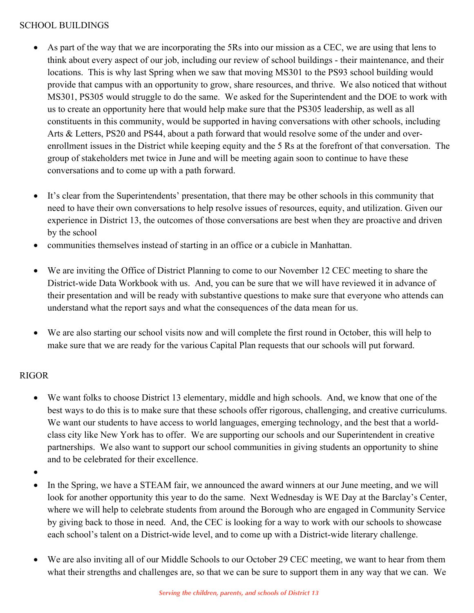#### SCHOOL BUILDINGS

- As part of the way that we are incorporating the 5Rs into our mission as a CEC, we are using that lens to think about every aspect of our job, including our review of school buildings - their maintenance, and their locations. This is why last Spring when we saw that moving MS301 to the PS93 school building would provide that campus with an opportunity to grow, share resources, and thrive. We also noticed that without MS301, PS305 would struggle to do the same. We asked for the Superintendent and the DOE to work with us to create an opportunity here that would help make sure that the PS305 leadership, as well as all constituents in this community, would be supported in having conversations with other schools, including Arts & Letters, PS20 and PS44, about a path forward that would resolve some of the under and overenrollment issues in the District while keeping equity and the 5 Rs at the forefront of that conversation. The group of stakeholders met twice in June and will be meeting again soon to continue to have these conversations and to come up with a path forward.
- It's clear from the Superintendents' presentation, that there may be other schools in this community that need to have their own conversations to help resolve issues of resources, equity, and utilization. Given our experience in District 13, the outcomes of those conversations are best when they are proactive and driven by the school
- communities themselves instead of starting in an office or a cubicle in Manhattan.
- We are inviting the Office of District Planning to come to our November 12 CEC meeting to share the District-wide Data Workbook with us. And, you can be sure that we will have reviewed it in advance of their presentation and will be ready with substantive questions to make sure that everyone who attends can understand what the report says and what the consequences of the data mean for us.
- We are also starting our school visits now and will complete the first round in October, this will help to make sure that we are ready for the various Capital Plan requests that our schools will put forward.

# RIGOR

- We want folks to choose District 13 elementary, middle and high schools. And, we know that one of the best ways to do this is to make sure that these schools offer rigorous, challenging, and creative curriculums. We want our students to have access to world languages, emerging technology, and the best that a worldclass city like New York has to offer. We are supporting our schools and our Superintendent in creative partnerships. We also want to support our school communities in giving students an opportunity to shine and to be celebrated for their excellence.
- •
- In the Spring, we have a STEAM fair, we announced the award winners at our June meeting, and we will look for another opportunity this year to do the same. Next Wednesday is WE Day at the Barclay's Center, where we will help to celebrate students from around the Borough who are engaged in Community Service by giving back to those in need. And, the CEC is looking for a way to work with our schools to showcase each school's talent on a District-wide level, and to come up with a District-wide literary challenge.
- We are also inviting all of our Middle Schools to our October 29 CEC meeting, we want to hear from them what their strengths and challenges are, so that we can be sure to support them in any way that we can. We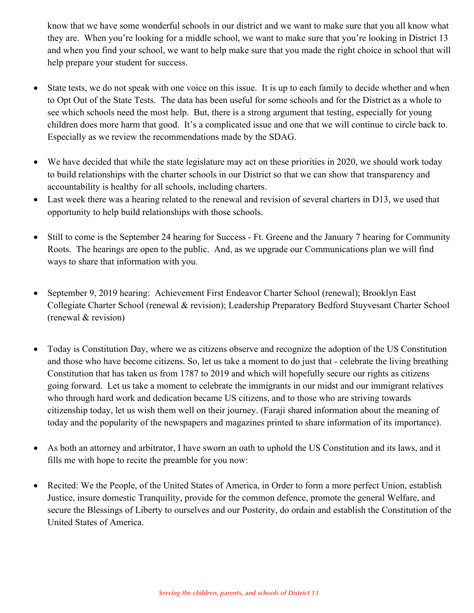know that we have some wonderful schools in our district and we want to make sure that you all know what they are. When you're looking for a middle school, we want to make sure that you're looking in District 13 and when you find your school, we want to help make sure that you made the right choice in school that will help prepare your student for success.

- State tests, we do not speak with one voice on this issue. It is up to each family to decide whether and when to Opt Out of the State Tests. The data has been useful for some schools and for the District as a whole to see which schools need the most help. But, there is a strong argument that testing, especially for young children does more harm that good. It's a complicated issue and one that we will continue to circle back to. Especially as we review the recommendations made by the SDAG.
- We have decided that while the state legislature may act on these priorities in 2020, we should work today to build relationships with the charter schools in our District so that we can show that transparency and accountability is healthy for all schools, including charters.
- Last week there was a hearing related to the renewal and revision of several charters in D13, we used that opportunity to help build relationships with those schools.
- Still to come is the September 24 hearing for Success Ft. Greene and the January 7 hearing for Community Roots. The hearings are open to the public. And, as we upgrade our Communications plan we will find ways to share that information with you.
- September 9, 2019 hearing: Achievement First Endeavor Charter School (renewal); Brooklyn East Collegiate Charter School (renewal & revision); Leadership Preparatory Bedford Stuyvesant Charter School (renewal & revision)
- Today is Constitution Day, where we as citizens observe and recognize the adoption of the US Constitution and those who have become citizens. So, let us take a moment to do just that - celebrate the living breathing Constitution that has taken us from 1787 to 2019 and which will hopefully secure our rights as citizens going forward. Let us take a moment to celebrate the immigrants in our midst and our immigrant relatives who through hard work and dedication became US citizens, and to those who are striving towards citizenship today, let us wish them well on their journey. (Faraji shared information about the meaning of today and the popularity of the newspapers and magazines printed to share information of its importance).
- As both an attorney and arbitrator, I have sworn an oath to uphold the US Constitution and its laws, and it fills me with hope to recite the preamble for you now:
- Recited: We the People, of the United States of America, in Order to form a more perfect Union, establish Justice, insure domestic Tranquility, provide for the common defence, promote the general Welfare, and secure the Blessings of Liberty to ourselves and our Posterity, do ordain and establish the Constitution of the United States of America.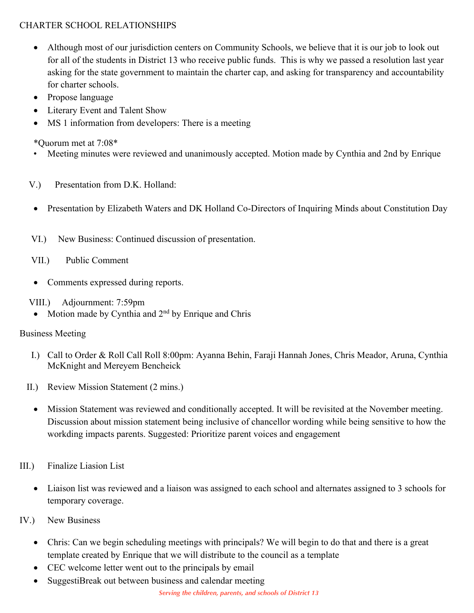# CHARTER SCHOOL RELATIONSHIPS

- Although most of our jurisdiction centers on Community Schools, we believe that it is our job to look out for all of the students in District 13 who receive public funds. This is why we passed a resolution last year asking for the state government to maintain the charter cap, and asking for transparency and accountability for charter schools.
- Propose language
- Literary Event and Talent Show
- MS 1 information from developers: There is a meeting

\*Quorum met at 7:08\*

- Meeting minutes were reviewed and unanimously accepted. Motion made by Cynthia and 2nd by Enrique
- V.) Presentation from D.K. Holland:
- Presentation by Elizabeth Waters and DK Holland Co-Directors of Inquiring Minds about Constitution Day
- VI.) New Business: Continued discussion of presentation.
- VII.) Public Comment
- Comments expressed during reports.
- VIII.) Adjournment: 7:59pm
	- Motion made by Cynthia and 2<sup>nd</sup> by Enrique and Chris

## Business Meeting

- I.) Call to Order & Roll Call Roll 8:00pm: Ayanna Behin, Faraji Hannah Jones, Chris Meador, Aruna, Cynthia McKnight and Mereyem Bencheick
- II.) Review Mission Statement (2 mins.)
	- Mission Statement was reviewed and conditionally accepted. It will be revisited at the November meeting. Discussion about mission statement being inclusive of chancellor wording while being sensitive to how the workding impacts parents. Suggested: Prioritize parent voices and engagement
- III.) Finalize Liasion List
	- Liaison list was reviewed and a liaison was assigned to each school and alternates assigned to 3 schools for temporary coverage.
- IV.) New Business
	- Chris: Can we begin scheduling meetings with principals? We will begin to do that and there is a great template created by Enrique that we will distribute to the council as a template
	- CEC welcome letter went out to the principals by email
	- SuggestiBreak out between business and calendar meeting